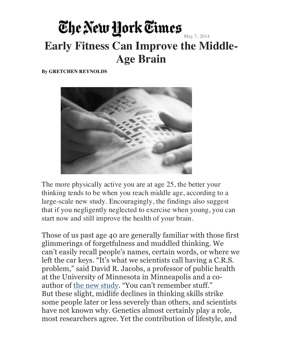## The New York Times **Early Fitness Can Improve the Middle-Age Brain**

**By GRETCHEN REYNOLDS**



The more physically active you are at age 25, the better your thinking tends to be when you reach middle age, according to a large-scale new study. Encouragingly, the findings also suggest that if you negligently neglected to exercise when young, you can start now and still improve the health of your brain.

Those of us past age 40 are generally familiar with those first glimmerings of forgetfulness and muddled thinking. We can't easily recall people's names, certain words, or where we left the car keys. "It's what we scientists call having a C.R.S. problem," said David R. Jacobs, a professor of public health at the University of Minnesota in Minneapolis and a coauthor of the new study. "You can't remember stuff." But these slight, midlife declines in thinking skills strike some people later or less severely than others, and scientists have not known why. Genetics almost certainly play a role, most researchers agree. Yet the contribution of lifestyle, and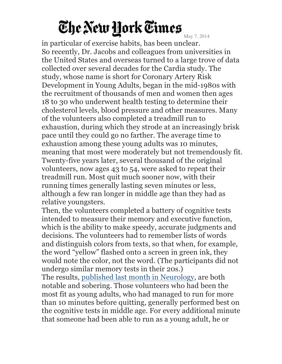## The New York Times

May 7, 2014

in particular of exercise habits, has been unclear. So recently, Dr. Jacobs and colleagues from universities in the United States and overseas turned to a large trove of data collected over several decades for the Cardia study. The study, whose name is short for Coronary Artery Risk Development in Young Adults, began in the mid-1980s with the recruitment of thousands of men and women then ages 18 to 30 who underwent health testing to determine their cholesterol levels, blood pressure and other measures. Many of the volunteers also completed a treadmill run to exhaustion, during which they strode at an increasingly brisk pace until they could go no farther. The average time to exhaustion among these young adults was 10 minutes, meaning that most were moderately but not tremendously fit. Twenty-five years later, several thousand of the original volunteers, now ages 43 to 54, were asked to repeat their treadmill run. Most quit much sooner now, with their running times generally lasting seven minutes or less, although a few ran longer in middle age than they had as relative youngsters.

Then, the volunteers completed a battery of cognitive tests intended to measure their memory and executive function, which is the ability to make speedy, accurate judgments and decisions. The volunteers had to remember lists of words and distinguish colors from texts, so that when, for example, the word "yellow" flashed onto a screen in green ink, they would note the color, not the word. (The participants did not undergo similar memory tests in their 20s.) The results, published last month in Neurology, are both notable and sobering. Those volunteers who had been the

most fit as young adults, who had managed to run for more than 10 minutes before quitting, generally performed best on the cognitive tests in middle age. For every additional minute that someone had been able to run as a young adult, he or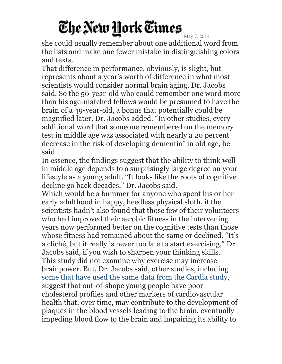## The New York Times

May 7, 2014 she could usually remember about one additional word from the lists and make one fewer mistake in distinguishing colors and texts.

That difference in performance, obviously, is slight, but represents about a year's worth of difference in what most scientists would consider normal brain aging, Dr. Jacobs said. So the 50-year-old who could remember one word more than his age-matched fellows would be presumed to have the brain of a 49-year-old, a bonus that potentially could be magnified later, Dr. Jacobs added. "In other studies, every additional word that someone remembered on the memory test in middle age was associated with nearly a 20 percent decrease in the risk of developing dementia" in old age, he said.

In essence, the findings suggest that the ability to think well in middle age depends to a surprisingly large degree on your lifestyle as a young adult. "It looks like the roots of cognitive decline go back decades," Dr. Jacobs said.

Which would be a bummer for anyone who spent his or her early adulthood in happy, heedless physical sloth, if the scientists hadn't also found that those few of their volunteers who had improved their aerobic fitness in the intervening years now performed better on the cognitive tests than those whose fitness had remained about the same or declined. "It's a cliché, but it really is never too late to start exercising," Dr. Jacobs said, if you wish to sharpen your thinking skills. This study did not examine why exercise may increase brainpower. But, Dr. Jacobs said, other studies, including some that have used the same data from the Cardia study, suggest that out-of-shape young people have poor cholesterol profiles and other markers of cardiovascular health that, over time, may contribute to the development of plaques in the blood vessels leading to the brain, eventually impeding blood flow to the brain and impairing its ability to